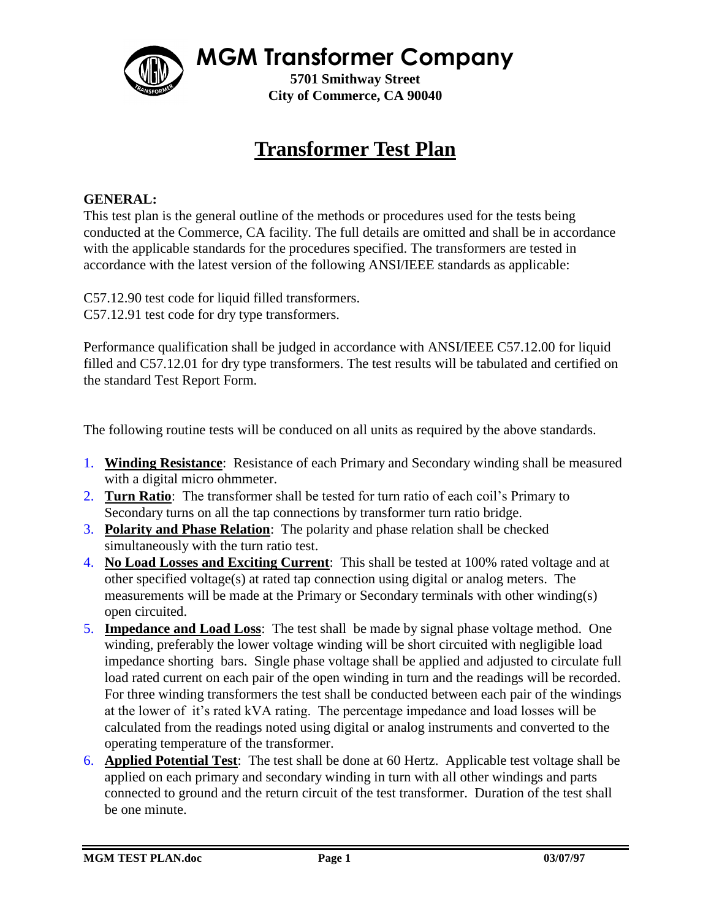**MGM Transformer Company**

**5701 Smithway Street City of Commerce, CA 90040**

## **Transformer Test Plan**

## **GENERAL:**

This test plan is the general outline of the methods or procedures used for the tests being conducted at the Commerce, CA facility. The full details are omitted and shall be in accordance with the applicable standards for the procedures specified. The transformers are tested in accordance with the latest version of the following ANSI/IEEE standards as applicable:

C57.12.90 test code for liquid filled transformers. C57.12.91 test code for dry type transformers.

Performance qualification shall be judged in accordance with ANSI/IEEE C57.12.00 for liquid filled and C57.12.01 for dry type transformers. The test results will be tabulated and certified on the standard Test Report Form.

The following routine tests will be conduced on all units as required by the above standards.

- 1. **Winding Resistance**: Resistance of each Primary and Secondary winding shall be measured with a digital micro ohmmeter.
- 2. **Turn Ratio**: The transformer shall be tested for turn ratio of each coil's Primary to Secondary turns on all the tap connections by transformer turn ratio bridge.
- 3. **Polarity and Phase Relation**: The polarity and phase relation shall be checked simultaneously with the turn ratio test.
- 4. **No Load Losses and Exciting Current**: This shall be tested at 100% rated voltage and at other specified voltage(s) at rated tap connection using digital or analog meters. The measurements will be made at the Primary or Secondary terminals with other winding(s) open circuited.
- 5. **Impedance and Load Loss**: The test shall be made by signal phase voltage method. One winding, preferably the lower voltage winding will be short circuited with negligible load impedance shorting bars. Single phase voltage shall be applied and adjusted to circulate full load rated current on each pair of the open winding in turn and the readings will be recorded. For three winding transformers the test shall be conducted between each pair of the windings at the lower of it's rated kVA rating. The percentage impedance and load losses will be calculated from the readings noted using digital or analog instruments and converted to the operating temperature of the transformer.
- 6. **Applied Potential Test**: The test shall be done at 60 Hertz. Applicable test voltage shall be applied on each primary and secondary winding in turn with all other windings and parts connected to ground and the return circuit of the test transformer. Duration of the test shall be one minute.